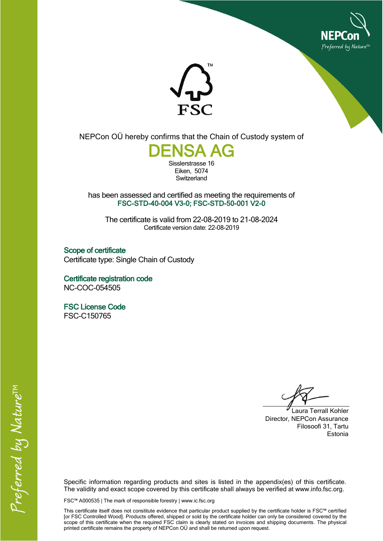



NEPCon OÜ hereby confirms that the Chain of Custody system of



Eiken, 5074 **Switzerland** 

has been assessed and certified as meeting the requirements of FSC-STD-40-004 V3-0; FSC-STD-50-001 V2-0

The certificate is valid from 22-08-2019 to 21-08-2024 Certificate version date: 22-08-2019

Scope of certificate Certificate type: Single Chain of Custody

Certificate registration code NC-COC-054505

FSC License Code FSC-C150765

Laura Terrall Kohler Director, NEPCon Assurance Filosoofi 31, Tartu Estonia

Specific information regarding products and sites is listed in the appendix(es) of this certificate. The validity and exact scope covered by this certificate shall always be verified at www.info.fsc.org.

FSC™ A000535 | The mark of responsible forestry | www.ic.fsc.org

This certificate itself does not constitute evidence that particular product supplied by the certificate holder is FSC™ certified [or FSC Controlled Wood]. Products offered, shipped or sold by the certificate holder can only be considered covered by the scope of this certificate when the required FSC claim is clearly stated on invoices and shipping documents. The physical printed certificate remains the property of NEPCon OÜ and shall be returned upon request.